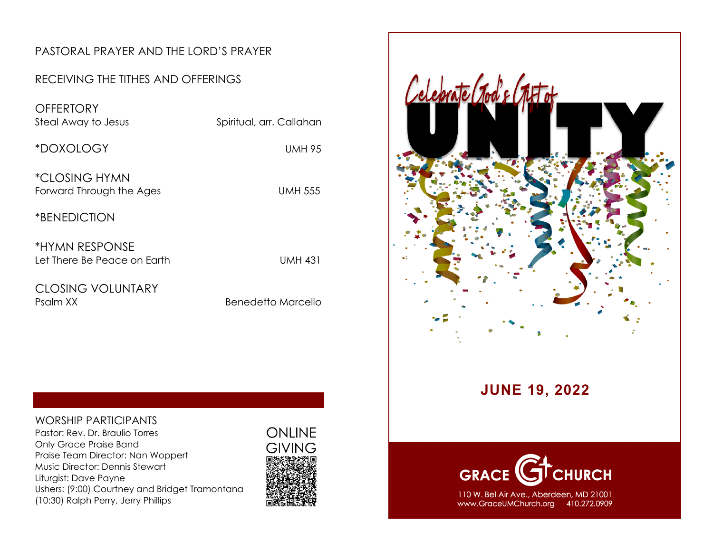#### PASTORAL PRAYER AND THE LORD'S PRAYER

#### RECEIVING THE TITHES AND OFFERINGS

**OFFERTORY** Steal Away to Jesus Spiritual, arr. Callahan \*DOXOLOGY UMH 95 \*CLOSING HYMN

Forward Through the Ages **UMH 555** 

\*BENEDICTION

\*HYMN RESPONSE Let There Be Peace on Earth UMH 431

CLOSING VOLUNTARY Psalm XX Benedetto Marcello

#### WORSHIP PARTICIPANTS

Pastor: Rev. Dr. Braulio Torres Only Grace Praise Band Praise Team Director: Nan Woppert Music Director: Dennis Stewart Liturgist: Dave Payne Ushers: (9:00) Courtney and Bridget Tramontana (10:30) Ralph Perry, Jerry Phillips





### **JUNE 19, 2022**



110 W. Bel Air Ave., Aberdeen, MD 21001 www.GraceUMChurch.org 410.272.0909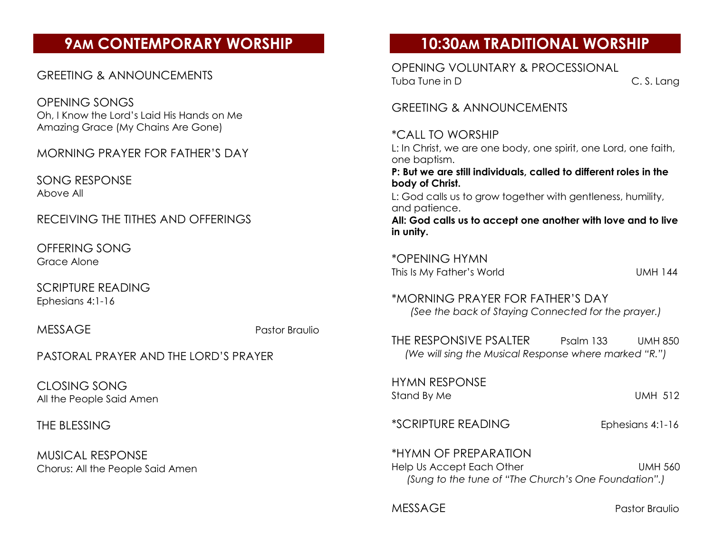# **9AM CONTEMPORARY WORSHIP**

#### GREETING & ANNOUNCEMENTS

OPENING SONGS Oh, I Know the Lord's Laid His Hands on Me Amazing Grace (My Chains Are Gone)

MORNING PRAYER FOR FATHER'S DAY

SONG RESPONSE Above All

RECEIVING THE TITHES AND OFFERINGS

OFFERING SONG Grace Alone

SCRIPTURE READING Ephesians 4:1-16

MESSAGE Pastor Braulio

PASTORAL PRAYER AND THE LORD'S PRAYER

CLOSING SONG All the People Said Amen

THE BLESSING

MUSICAL RESPONSE Chorus: All the People Said Amen

# **10:30AM TRADITIONAL WORSHIP**

OPENING VOLUNTARY & PROCESSIONAL Tuba Tune in D C. S. Lang

GREETING & ANNOUNCEMENTS

\*CALL TO WORSHIP L: In Christ, we are one body, one spirit, one Lord, one faith, one baptism. **P: But we are still individuals, called to different roles in the body of Christ.** L: God calls us to grow together with gentleness, humility, and patience.

**All: God calls us to accept one another with love and to live in unity.**

\*OPENING HYMN This Is My Father's World UMH 144

\*MORNING PRAYER FOR FATHER'S DAY *(See the back of Staying Connected for the prayer.)*

THE RESPONSIVE PSALTER Psalm 133 UMH 850 *(We will sing the Musical Response where marked "R.")*

HYMN RESPONSE Stand By Me UMH 512

\*SCRIPTURE READING Ephesians 4:1-16

\*HYMN OF PREPARATION Help Us Accept Each Other New York Contract UMH 560 *(Sung to the tune of "The Church's One Foundation".)*

MESSAGE Pastor Braulio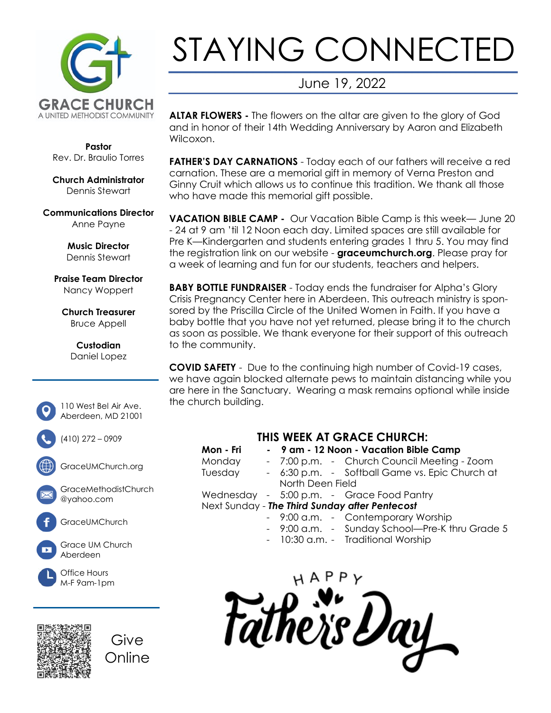

# STAYING CONNECTED

## June 19, 2022

**ALTAR FLOWERS -** The flowers on the altar are given to the glory of God and in honor of their 14th Wedding Anniversary by Aaron and Elizabeth Wilcoxon.

**FATHER'S DAY CARNATIONS** - Today each of our fathers will receive a red carnation. These are a memorial gift in memory of Verna Preston and Ginny Cruit which allows us to continue this tradition. We thank all those who have made this memorial aift possible.

**VACATION BIBLE CAMP -** Our Vacation Bible Camp is this week— June 20 - 24 at 9 am 'til 12 Noon each day. Limited spaces are still available for Pre K—Kindergarten and students entering grades 1 thru 5. You may find the registration link on our website - **graceumchurch.org**. Please pray for a week of learning and fun for our students, teachers and helpers.

**BABY BOTTLE FUNDRAISER** - Today ends the fundraiser for Alpha's Glory Crisis Pregnancy Center here in Aberdeen. This outreach ministry is sponsored by the Priscilla Circle of the United Women in Faith. If you have a baby bottle that you have not yet returned, please bring it to the church as soon as possible. We thank everyone for their support of this outreach to the community.

**COVID SAFETY** - Due to the continuing high number of Covid-19 cases, we have again blocked alternate pews to maintain distancing while you are here in the Sanctuary. Wearing a mask remains optional while inside the church building.

| THIS WEEK AT GRACE CHURCH: |  |                                                |
|----------------------------|--|------------------------------------------------|
| Mon - Fri                  |  | - 9 am - 12 Noon - Vacation Bible Camp         |
| Monday                     |  | - 7:00 p.m. - Church Council Meeting - Zoom    |
| Tuesday                    |  | - 6:30 p.m. - Softball Game vs. Epic Church at |
|                            |  | North Deen Field                               |
|                            |  | Wednesday - 5:00 p.m. - Grace Food Pantry      |
|                            |  | Next Sunday - The Third Sunday after Pentecost |

- 9:00 a.m. Contemporary Worship
- 9:00 a.m. Sunday School—Pre-K thru Grade 5
- 10:30 a.m. Traditional Worship

he`is Day

**Pastor** Rev. Dr. Braulio Torres

**Church Administrator** Dennis Stewart

**Communications Director** Anne Payne

> **Music Director** Dennis Stewart

**Praise Team Director** Nancy Woppert

**Church Treasurer** Bruce Appell

> **Custodian** Daniel Lopez



(410) 272 – 0909

GraceUMChurch.org

GraceMethodistChurch @yahoo.com



Grace UM Church Aberdeen





Give Online